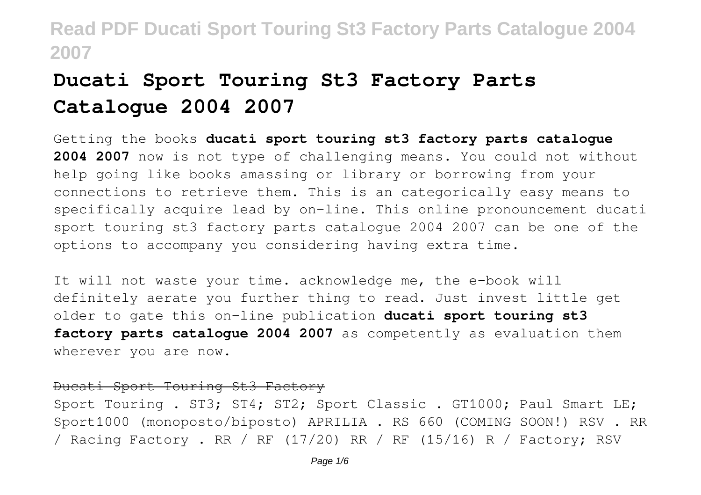# **Ducati Sport Touring St3 Factory Parts Catalogue 2004 2007**

Getting the books **ducati sport touring st3 factory parts catalogue 2004 2007** now is not type of challenging means. You could not without help going like books amassing or library or borrowing from your connections to retrieve them. This is an categorically easy means to specifically acquire lead by on-line. This online pronouncement ducati sport touring st3 factory parts catalogue 2004 2007 can be one of the options to accompany you considering having extra time.

It will not waste your time. acknowledge me, the e-book will definitely aerate you further thing to read. Just invest little get older to gate this on-line publication **ducati sport touring st3 factory parts catalogue 2004 2007** as competently as evaluation them wherever you are now.

### Ducati Sport Touring St3 Factory

Sport Touring . ST3; ST4; ST2; Sport Classic . GT1000; Paul Smart LE; Sport1000 (monoposto/biposto) APRILIA . RS 660 (COMING SOON!) RSV . RR / Racing Factory . RR / RF (17/20) RR / RF (15/16) R / Factory; RSV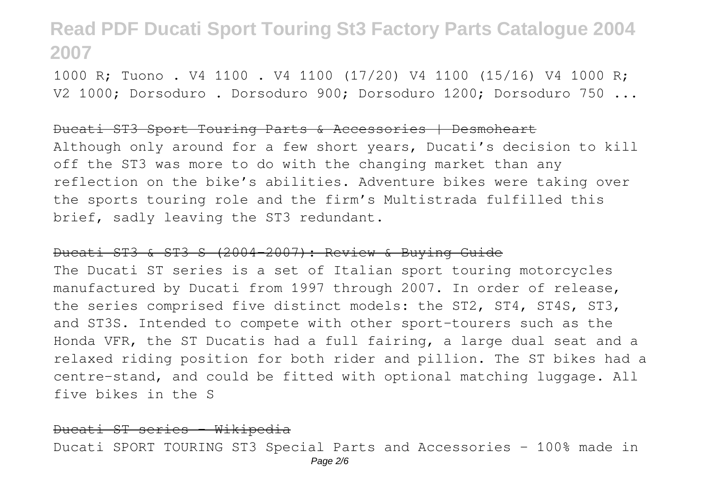1000 R; Tuono . V4 1100 . V4 1100 (17/20) V4 1100 (15/16) V4 1000 R; V2 1000; Dorsoduro . Dorsoduro 900; Dorsoduro 1200; Dorsoduro 750 ...

#### Ducati ST3 Sport Touring Parts & Accessories | Desmoheart

Although only around for a few short years, Ducati's decision to kill off the ST3 was more to do with the changing market than any reflection on the bike's abilities. Adventure bikes were taking over the sports touring role and the firm's Multistrada fulfilled this brief, sadly leaving the ST3 redundant.

#### Ducati ST3 & ST3 S (2004-2007): Review & Buying Guide

The Ducati ST series is a set of Italian sport touring motorcycles manufactured by Ducati from 1997 through 2007. In order of release, the series comprised five distinct models: the ST2, ST4, ST4S, ST3, and ST3S. Intended to compete with other sport-tourers such as the Honda VFR, the ST Ducatis had a full fairing, a large dual seat and a relaxed riding position for both rider and pillion. The ST bikes had a centre-stand, and could be fitted with optional matching luggage. All five bikes in the S

#### Ducati ST series - Wikipedia

Ducati SPORT TOURING ST3 Special Parts and Accessories - 100% made in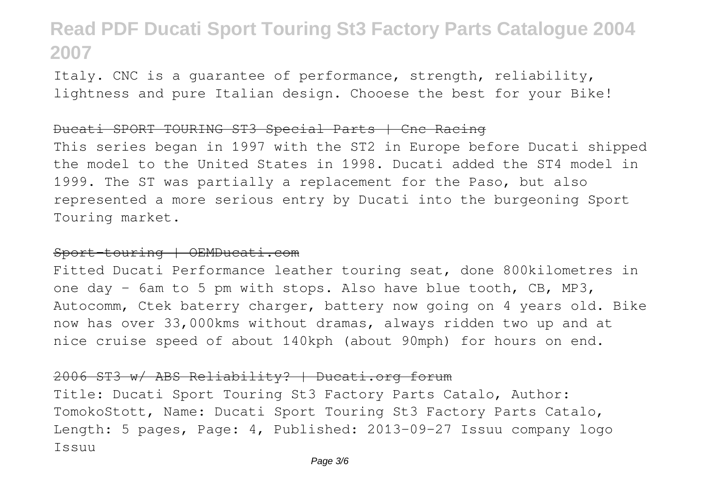Italy. CNC is a guarantee of performance, strength, reliability, lightness and pure Italian design. Chooese the best for your Bike!

#### Ducati SPORT TOURING ST3 Special Parts | Cnc Racing

This series began in 1997 with the ST2 in Europe before Ducati shipped the model to the United States in 1998. Ducati added the ST4 model in 1999. The ST was partially a replacement for the Paso, but also represented a more serious entry by Ducati into the burgeoning Sport Touring market.

### Sport-touring | OEMDucati.com

Fitted Ducati Performance leather touring seat, done 800kilometres in one day - 6am to 5 pm with stops. Also have blue tooth, CB, MP3, Autocomm, Ctek baterry charger, battery now going on 4 years old. Bike now has over 33,000kms without dramas, always ridden two up and at nice cruise speed of about 140kph (about 90mph) for hours on end.

### 2006 ST3 w/ ABS Reliability? | Ducati.org forum

Title: Ducati Sport Touring St3 Factory Parts Catalo, Author: TomokoStott, Name: Ducati Sport Touring St3 Factory Parts Catalo, Length: 5 pages, Page: 4, Published: 2013-09-27 Issuu company logo Issuu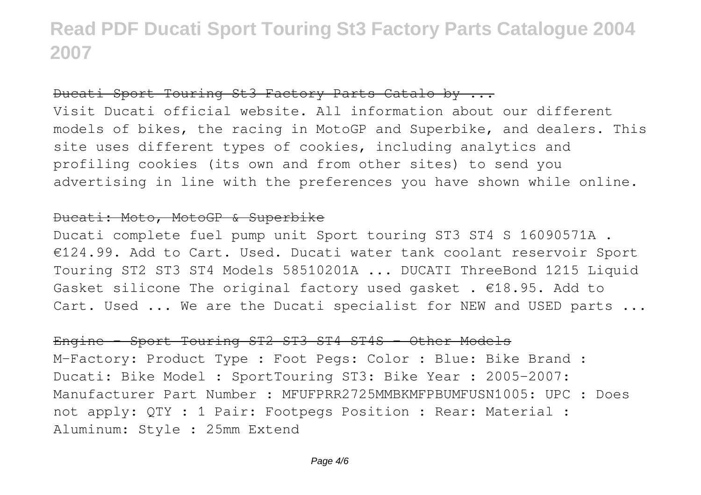### Ducati Sport Touring St3 Factory Parts Catalo by ...

Visit Ducati official website. All information about our different models of bikes, the racing in MotoGP and Superbike, and dealers. This site uses different types of cookies, including analytics and profiling cookies (its own and from other sites) to send you advertising in line with the preferences you have shown while online.

### Ducati: Moto, MotoGP & Superbike

Ducati complete fuel pump unit Sport touring ST3 ST4 S 16090571A . €124.99. Add to Cart. Used. Ducati water tank coolant reservoir Sport Touring ST2 ST3 ST4 Models 58510201A ... DUCATI ThreeBond 1215 Liquid Gasket silicone The original factory used gasket .  $€18.95$ . Add to Cart. Used ... We are the Ducati specialist for NEW and USED parts ...

### Engine - Sport Touring ST2 ST3 ST4 ST4S - Other Models

M-Factory: Product Type : Foot Pegs: Color : Blue: Bike Brand : Ducati: Bike Model : SportTouring ST3: Bike Year : 2005-2007: Manufacturer Part Number : MFUFPRR2725MMBKMFPBUMFUSN1005: UPC : Does not apply: QTY : 1 Pair: Footpegs Position : Rear: Material : Aluminum: Style : 25mm Extend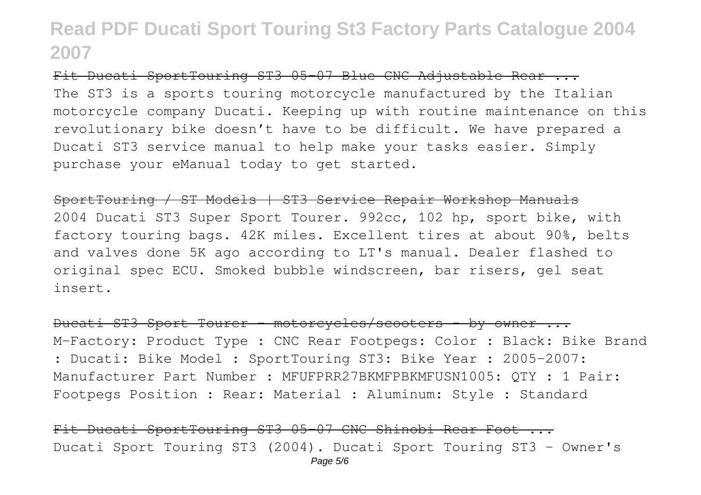Fit Ducati SportTouring ST3 05-07 Blue CNC Adjustable Rear ... The ST3 is a sports touring motorcycle manufactured by the Italian motorcycle company Ducati. Keeping up with routine maintenance on this revolutionary bike doesn't have to be difficult. We have prepared a Ducati ST3 service manual to help make your tasks easier. Simply purchase your eManual today to get started.

SportTouring / ST Models | ST3 Service Repair Workshop Manuals 2004 Ducati ST3 Super Sport Tourer. 992cc, 102 hp, sport bike, with factory touring bags. 42K miles. Excellent tires at about 90%, belts and valves done 5K ago according to LT's manual. Dealer flashed to original spec ECU. Smoked bubble windscreen, bar risers, gel seat insert.

Ducati ST3 Sport Tourer - motorcycles/scooters - by owner ... M-Factory: Product Type : CNC Rear Footpegs: Color : Black: Bike Brand : Ducati: Bike Model : SportTouring ST3: Bike Year : 2005-2007: Manufacturer Part Number : MFUFPRR27BKMFPBKMFUSN1005: QTY : 1 Pair: Footpegs Position : Rear: Material : Aluminum: Style : Standard

Fit Ducati SportTouring ST3 05-07 CNC Shinobi Rear Foot ... Ducati Sport Touring ST3 (2004). Ducati Sport Touring ST3 - Owner's